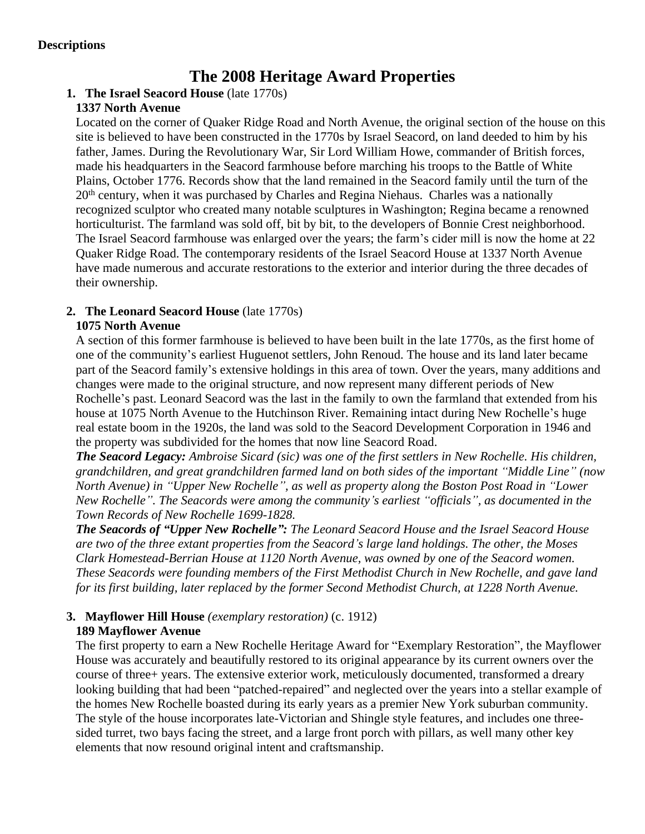# **The 2008 Heritage Award Properties**

# **1. The Israel Seacord House** (late 1770s)

## **1337 North Avenue**

Located on the corner of Quaker Ridge Road and North Avenue, the original section of the house on this site is believed to have been constructed in the 1770s by Israel Seacord, on land deeded to him by his father, James. During the Revolutionary War, Sir Lord William Howe, commander of British forces, made his headquarters in the Seacord farmhouse before marching his troops to the Battle of White Plains, October 1776. Records show that the land remained in the Seacord family until the turn of the 20<sup>th</sup> century, when it was purchased by Charles and Regina Niehaus. Charles was a nationally recognized sculptor who created many notable sculptures in Washington; Regina became a renowned horticulturist. The farmland was sold off, bit by bit, to the developers of Bonnie Crest neighborhood. The Israel Seacord farmhouse was enlarged over the years; the farm's cider mill is now the home at 22 Quaker Ridge Road. The contemporary residents of the Israel Seacord House at 1337 North Avenue have made numerous and accurate restorations to the exterior and interior during the three decades of their ownership.

## **2. The Leonard Seacord House** (late 1770s)

## **1075 North Avenue**

A section of this former farmhouse is believed to have been built in the late 1770s, as the first home of one of the community's earliest Huguenot settlers, John Renoud. The house and its land later became part of the Seacord family's extensive holdings in this area of town. Over the years, many additions and changes were made to the original structure, and now represent many different periods of New Rochelle's past. Leonard Seacord was the last in the family to own the farmland that extended from his house at 1075 North Avenue to the Hutchinson River. Remaining intact during New Rochelle's huge real estate boom in the 1920s, the land was sold to the Seacord Development Corporation in 1946 and the property was subdivided for the homes that now line Seacord Road.

*The Seacord Legacy: Ambroise Sicard (sic) was one of the first settlers in New Rochelle. His children, grandchildren, and great grandchildren farmed land on both sides of the important "Middle Line" (now North Avenue) in "Upper New Rochelle", as well as property along the Boston Post Road in "Lower New Rochelle". The Seacords were among the community's earliest "officials", as documented in the Town Records of New Rochelle 1699-1828.*

*The Seacords of "Upper New Rochelle": The Leonard Seacord House and the Israel Seacord House are two of the three extant properties from the Seacord's large land holdings. The other, the Moses Clark Homestead-Berrian House at 1120 North Avenue, was owned by one of the Seacord women. These Seacords were founding members of the First Methodist Church in New Rochelle, and gave land for its first building, later replaced by the former Second Methodist Church, at 1228 North Avenue.* 

## **3. Mayflower Hill House** *(exemplary restoration)* (c. 1912) **189 Mayflower Avenue**

The first property to earn a New Rochelle Heritage Award for "Exemplary Restoration", the Mayflower House was accurately and beautifully restored to its original appearance by its current owners over the course of three+ years. The extensive exterior work, meticulously documented, transformed a dreary looking building that had been "patched-repaired" and neglected over the years into a stellar example of the homes New Rochelle boasted during its early years as a premier New York suburban community. The style of the house incorporates late-Victorian and Shingle style features, and includes one threesided turret, two bays facing the street, and a large front porch with pillars, as well many other key elements that now resound original intent and craftsmanship.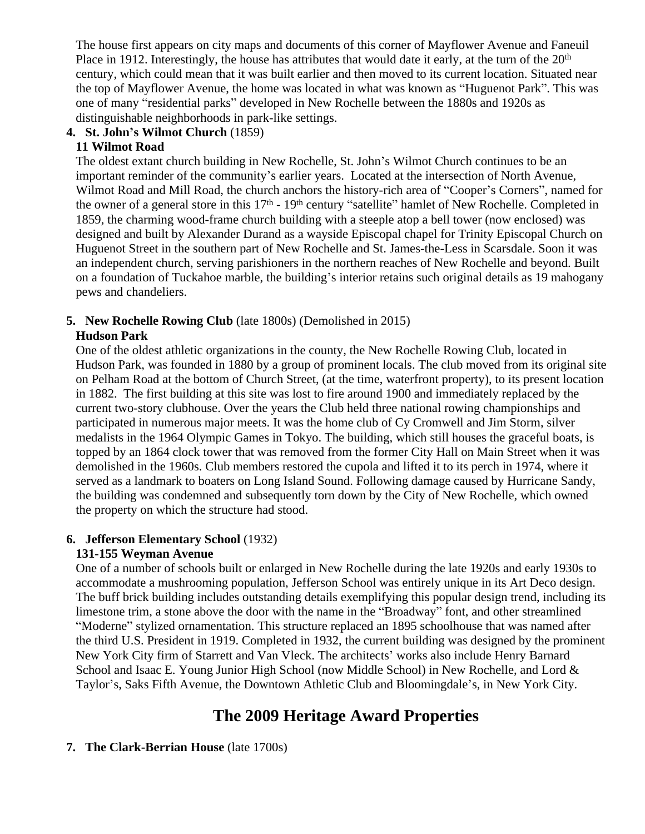The house first appears on city maps and documents of this corner of Mayflower Avenue and Faneuil Place in 1912. Interestingly, the house has attributes that would date it early, at the turn of the 20<sup>th</sup> century, which could mean that it was built earlier and then moved to its current location. Situated near the top of Mayflower Avenue, the home was located in what was known as "Huguenot Park". This was one of many "residential parks" developed in New Rochelle between the 1880s and 1920s as distinguishable neighborhoods in park-like settings.

### **4. St. John's Wilmot Church** (1859)

### **11 Wilmot Road**

The oldest extant church building in New Rochelle, St. John's Wilmot Church continues to be an important reminder of the community's earlier years. Located at the intersection of North Avenue, Wilmot Road and Mill Road, the church anchors the history-rich area of "Cooper's Corners", named for the owner of a general store in this 17<sup>th</sup> - 19<sup>th</sup> century "satellite" hamlet of New Rochelle. Completed in 1859, the charming wood-frame church building with a steeple atop a bell tower (now enclosed) was designed and built by Alexander Durand as a wayside Episcopal chapel for Trinity Episcopal Church on Huguenot Street in the southern part of New Rochelle and St. James-the-Less in Scarsdale. Soon it was an independent church, serving parishioners in the northern reaches of New Rochelle and beyond. Built on a foundation of Tuckahoe marble, the building's interior retains such original details as 19 mahogany pews and chandeliers.

## **5. New Rochelle Rowing Club** (late 1800s) (Demolished in 2015)

#### **Hudson Park**

One of the oldest athletic organizations in the county, the New Rochelle Rowing Club, located in Hudson Park, was founded in 1880 by a group of prominent locals. The club moved from its original site on Pelham Road at the bottom of Church Street, (at the time, waterfront property), to its present location in 1882. The first building at this site was lost to fire around 1900 and immediately replaced by the current two-story clubhouse. Over the years the Club held three national rowing championships and participated in numerous major meets. It was the home club of Cy Cromwell and Jim Storm, silver medalists in the 1964 Olympic Games in Tokyo. The building, which still houses the graceful boats, is topped by an 1864 clock tower that was removed from the former City Hall on Main Street when it was demolished in the 1960s. Club members restored the cupola and lifted it to its perch in 1974, where it served as a landmark to boaters on Long Island Sound. Following damage caused by Hurricane Sandy, the building was condemned and subsequently torn down by the City of New Rochelle, which owned the property on which the structure had stood.

## **6. Jefferson Elementary School** (1932)

## **131-155 Weyman Avenue**

One of a number of schools built or enlarged in New Rochelle during the late 1920s and early 1930s to accommodate a mushrooming population, Jefferson School was entirely unique in its Art Deco design. The buff brick building includes outstanding details exemplifying this popular design trend, including its limestone trim, a stone above the door with the name in the "Broadway" font, and other streamlined "Moderne" stylized ornamentation. This structure replaced an 1895 schoolhouse that was named after the third U.S. President in 1919. Completed in 1932, the current building was designed by the prominent New York City firm of Starrett and Van Vleck. The architects' works also include Henry Barnard School and Isaac E. Young Junior High School (now Middle School) in New Rochelle, and Lord & Taylor's, Saks Fifth Avenue, the Downtown Athletic Club and Bloomingdale's, in New York City.

# **The 2009 Heritage Award Properties**

#### **7. The Clark-Berrian House** (late 1700s)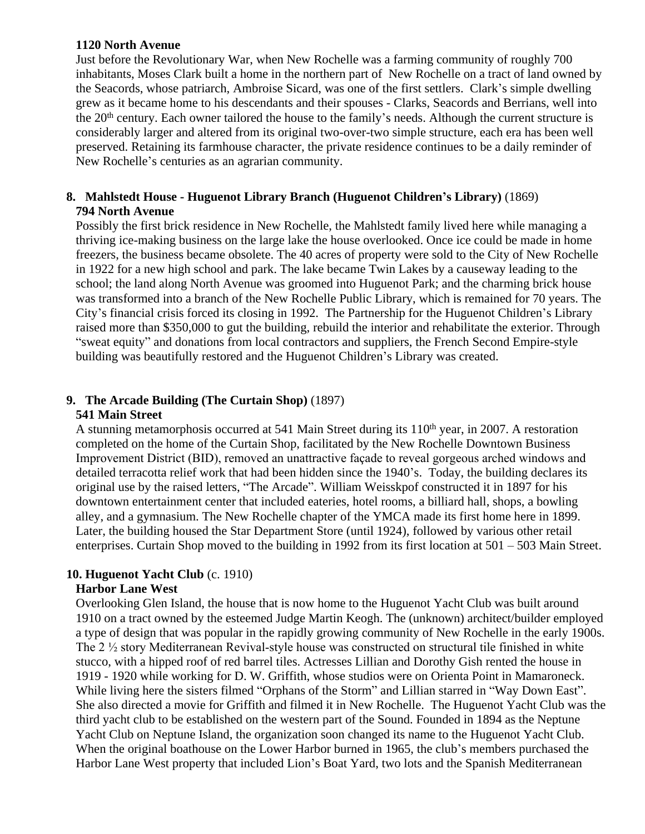#### **1120 North Avenue**

Just before the Revolutionary War, when New Rochelle was a farming community of roughly 700 inhabitants, Moses Clark built a home in the northern part of New Rochelle on a tract of land owned by the Seacords, whose patriarch, Ambroise Sicard, was one of the first settlers. Clark's simple dwelling grew as it became home to his descendants and their spouses - Clarks, Seacords and Berrians, well into the 20<sup>th</sup> century. Each owner tailored the house to the family's needs. Although the current structure is considerably larger and altered from its original two-over-two simple structure, each era has been well preserved. Retaining its farmhouse character, the private residence continues to be a daily reminder of New Rochelle's centuries as an agrarian community.

## **8. Mahlstedt House - Huguenot Library Branch (Huguenot Children's Library)** (1869) **794 North Avenue**

Possibly the first brick residence in New Rochelle, the Mahlstedt family lived here while managing a thriving ice-making business on the large lake the house overlooked. Once ice could be made in home freezers, the business became obsolete. The 40 acres of property were sold to the City of New Rochelle in 1922 for a new high school and park. The lake became Twin Lakes by a causeway leading to the school; the land along North Avenue was groomed into Huguenot Park; and the charming brick house was transformed into a branch of the New Rochelle Public Library, which is remained for 70 years. The City's financial crisis forced its closing in 1992. The Partnership for the Huguenot Children's Library raised more than \$350,000 to gut the building, rebuild the interior and rehabilitate the exterior. Through "sweat equity" and donations from local contractors and suppliers, the French Second Empire-style building was beautifully restored and the Huguenot Children's Library was created.

## **9. The Arcade Building (The Curtain Shop)** (1897)

#### **541 Main Street**

A stunning metamorphosis occurred at 541 Main Street during its  $110<sup>th</sup>$  year, in 2007. A restoration completed on the home of the Curtain Shop, facilitated by the New Rochelle Downtown Business Improvement District (BID), removed an unattractive façade to reveal gorgeous arched windows and detailed terracotta relief work that had been hidden since the 1940's. Today, the building declares its original use by the raised letters, "The Arcade". William Weisskpof constructed it in 1897 for his downtown entertainment center that included eateries, hotel rooms, a billiard hall, shops, a bowling alley, and a gymnasium. The New Rochelle chapter of the YMCA made its first home here in 1899. Later, the building housed the Star Department Store (until 1924), followed by various other retail enterprises. Curtain Shop moved to the building in 1992 from its first location at 501 – 503 Main Street.

## **10. Huguenot Yacht Club** (c. 1910)

#### **Harbor Lane West**

Overlooking Glen Island, the house that is now home to the Huguenot Yacht Club was built around 1910 on a tract owned by the esteemed Judge Martin Keogh. The (unknown) architect/builder employed a type of design that was popular in the rapidly growing community of New Rochelle in the early 1900s. The 2 ½ story Mediterranean Revival-style house was constructed on structural tile finished in white stucco, with a hipped roof of red barrel tiles. Actresses Lillian and Dorothy Gish rented the house in 1919 - 1920 while working for D. W. Griffith, whose studios were on Orienta Point in Mamaroneck. While living here the sisters filmed "Orphans of the Storm" and Lillian starred in "Way Down East". She also directed a movie for Griffith and filmed it in New Rochelle. The Huguenot Yacht Club was the third yacht club to be established on the western part of the Sound. Founded in 1894 as the Neptune Yacht Club on Neptune Island, the organization soon changed its name to the Huguenot Yacht Club. When the original boathouse on the Lower Harbor burned in 1965, the club's members purchased the Harbor Lane West property that included Lion's Boat Yard, two lots and the Spanish Mediterranean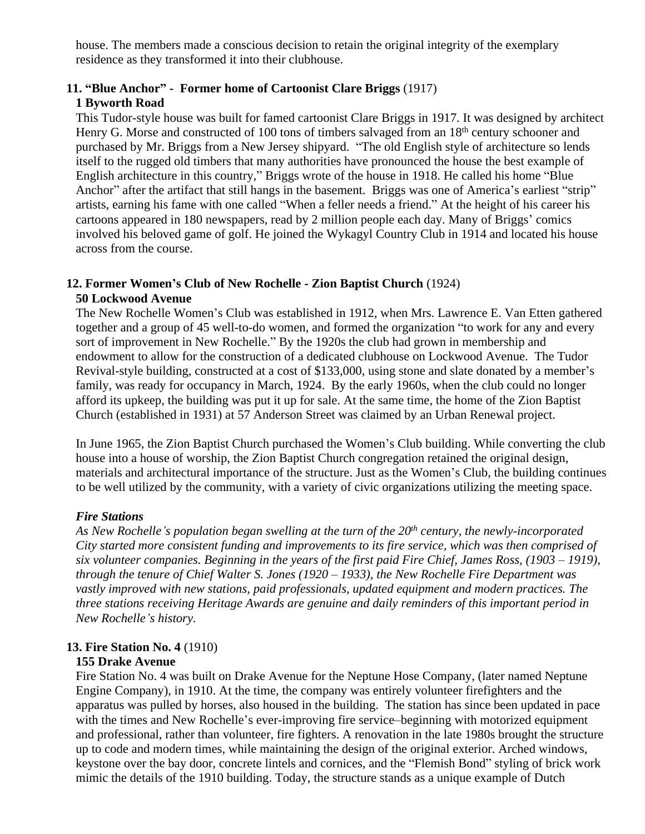house. The members made a conscious decision to retain the original integrity of the exemplary residence as they transformed it into their clubhouse.

## **11. "Blue Anchor" - Former home of Cartoonist Clare Briggs** (1917)

#### **1 Byworth Road**

This Tudor-style house was built for famed cartoonist Clare Briggs in 1917. It was designed by architect Henry G. Morse and constructed of 100 tons of timbers salvaged from an 18<sup>th</sup> century schooner and purchased by Mr. Briggs from a New Jersey shipyard. "The old English style of architecture so lends itself to the rugged old timbers that many authorities have pronounced the house the best example of English architecture in this country," Briggs wrote of the house in 1918. He called his home "Blue Anchor" after the artifact that still hangs in the basement. Briggs was one of America's earliest "strip" artists, earning his fame with one called "When a feller needs a friend." At the height of his career his cartoons appeared in 180 newspapers, read by 2 million people each day. Many of Briggs' comics involved his beloved game of golf. He joined the Wykagyl Country Club in 1914 and located his house across from the course.

## **12. Former Women's Club of New Rochelle - Zion Baptist Church** (1924) **50 Lockwood Avenue**

The New Rochelle Women's Club was established in 1912, when Mrs. Lawrence E. Van Etten gathered together and a group of 45 well-to-do women, and formed the organization "to work for any and every sort of improvement in New Rochelle." By the 1920s the club had grown in membership and endowment to allow for the construction of a dedicated clubhouse on Lockwood Avenue. The Tudor Revival-style building, constructed at a cost of \$133,000, using stone and slate donated by a member's family, was ready for occupancy in March, 1924. By the early 1960s, when the club could no longer afford its upkeep, the building was put it up for sale. At the same time, the home of the Zion Baptist Church (established in 1931) at 57 Anderson Street was claimed by an Urban Renewal project.

In June 1965, the Zion Baptist Church purchased the Women's Club building. While converting the club house into a house of worship, the Zion Baptist Church congregation retained the original design, materials and architectural importance of the structure. Just as the Women's Club, the building continues to be well utilized by the community, with a variety of civic organizations utilizing the meeting space.

## *Fire Stations*

*As New Rochelle's population began swelling at the turn of the 20th century, the newly-incorporated City started more consistent funding and improvements to its fire service, which was then comprised of six volunteer companies. Beginning in the years of the first paid Fire Chief, James Ross, (1903 – 1919), through the tenure of Chief Walter S. Jones (1920 – 1933), the New Rochelle Fire Department was vastly improved with new stations, paid professionals, updated equipment and modern practices. The three stations receiving Heritage Awards are genuine and daily reminders of this important period in New Rochelle's history.* 

## **13. Fire Station No. 4** (1910)

#### **155 Drake Avenue**

Fire Station No. 4 was built on Drake Avenue for the Neptune Hose Company, (later named Neptune Engine Company), in 1910. At the time, the company was entirely volunteer firefighters and the apparatus was pulled by horses, also housed in the building. The station has since been updated in pace with the times and New Rochelle's ever-improving fire service–beginning with motorized equipment and professional, rather than volunteer, fire fighters. A renovation in the late 1980s brought the structure up to code and modern times, while maintaining the design of the original exterior. Arched windows, keystone over the bay door, concrete lintels and cornices, and the "Flemish Bond" styling of brick work mimic the details of the 1910 building. Today, the structure stands as a unique example of Dutch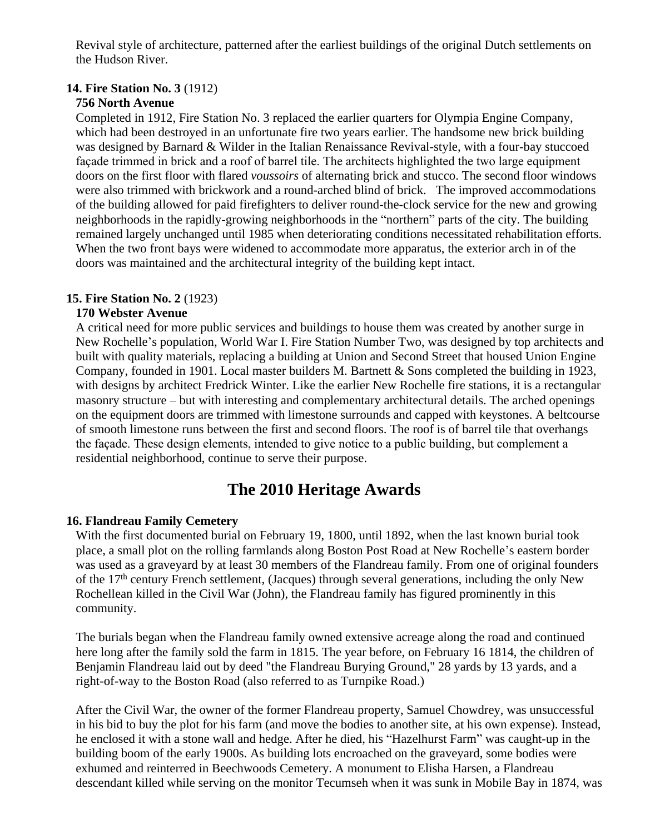Revival style of architecture, patterned after the earliest buildings of the original Dutch settlements on the Hudson River.

## **14. Fire Station No. 3** (1912)

### **756 North Avenue**

Completed in 1912, Fire Station No. 3 replaced the earlier quarters for Olympia Engine Company, which had been destroyed in an unfortunate fire two years earlier. The handsome new brick building was designed by Barnard & Wilder in the Italian Renaissance Revival-style, with a four-bay stuccoed façade trimmed in brick and a roof of barrel tile. The architects highlighted the two large equipment doors on the first floor with flared *voussoirs* of alternating brick and stucco. The second floor windows were also trimmed with brickwork and a round-arched blind of brick. The improved accommodations of the building allowed for paid firefighters to deliver round-the-clock service for the new and growing neighborhoods in the rapidly-growing neighborhoods in the "northern" parts of the city. The building remained largely unchanged until 1985 when deteriorating conditions necessitated rehabilitation efforts. When the two front bays were widened to accommodate more apparatus, the exterior arch in of the doors was maintained and the architectural integrity of the building kept intact.

### **15. Fire Station No. 2** (1923)

### **170 Webster Avenue**

A critical need for more public services and buildings to house them was created by another surge in New Rochelle's population, World War I. Fire Station Number Two, was designed by top architects and built with quality materials, replacing a building at Union and Second Street that housed Union Engine Company, founded in 1901. Local master builders M. Bartnett & Sons completed the building in 1923, with designs by architect Fredrick Winter. Like the earlier New Rochelle fire stations, it is a rectangular masonry structure – but with interesting and complementary architectural details. The arched openings on the equipment doors are trimmed with limestone surrounds and capped with keystones. A beltcourse of smooth limestone runs between the first and second floors. The roof is of barrel tile that overhangs the façade. These design elements, intended to give notice to a public building, but complement a residential neighborhood, continue to serve their purpose.

## **The 2010 Heritage Awards**

## **16. Flandreau Family Cemetery**

With the first documented burial on February 19, 1800, until 1892, when the last known burial took place, a small plot on the rolling farmlands along Boston Post Road at New Rochelle's eastern border was used as a graveyard by at least 30 members of the Flandreau family. From one of original founders of the 17<sup>th</sup> century French settlement, (Jacques) through several generations, including the only New Rochellean killed in the Civil War (John), the Flandreau family has figured prominently in this community.

The burials began when the Flandreau family owned extensive acreage along the road and continued here long after the family sold the farm in 1815. The year before, on February 16 1814, the children of Benjamin Flandreau laid out by deed "the Flandreau Burying Ground," 28 yards by 13 yards, and a right-of-way to the Boston Road (also referred to as Turnpike Road.)

After the Civil War, the owner of the former Flandreau property, Samuel Chowdrey, was unsuccessful in his bid to buy the plot for his farm (and move the bodies to another site, at his own expense). Instead, he enclosed it with a stone wall and hedge. After he died, his "Hazelhurst Farm" was caught-up in the building boom of the early 1900s. As building lots encroached on the graveyard, some bodies were exhumed and reinterred in Beechwoods Cemetery. A monument to Elisha Harsen, a Flandreau descendant killed while serving on the monitor Tecumseh when it was sunk in Mobile Bay in 1874, was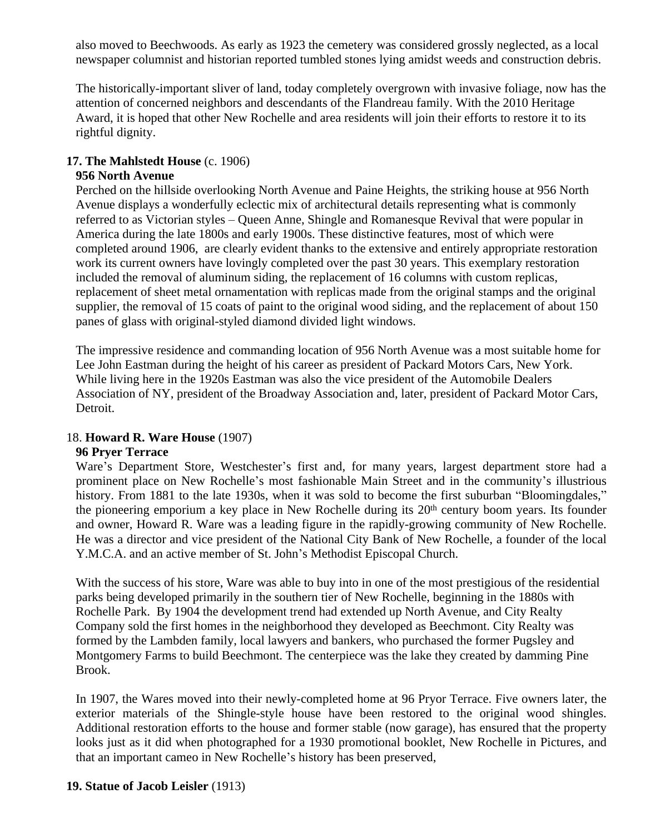also moved to Beechwoods. As early as 1923 the cemetery was considered grossly neglected, as a local newspaper columnist and historian reported tumbled stones lying amidst weeds and construction debris.

The historically-important sliver of land, today completely overgrown with invasive foliage, now has the attention of concerned neighbors and descendants of the Flandreau family. With the 2010 Heritage Award, it is hoped that other New Rochelle and area residents will join their efforts to restore it to its rightful dignity.

### **17. The Mahlstedt House** (c. 1906)

#### **956 North Avenue**

Perched on the hillside overlooking North Avenue and Paine Heights, the striking house at 956 North Avenue displays a wonderfully eclectic mix of architectural details representing what is commonly referred to as Victorian styles – Queen Anne, Shingle and Romanesque Revival that were popular in America during the late 1800s and early 1900s. These distinctive features, most of which were completed around 1906, are clearly evident thanks to the extensive and entirely appropriate restoration work its current owners have lovingly completed over the past 30 years. This exemplary restoration included the removal of aluminum siding, the replacement of 16 columns with custom replicas, replacement of sheet metal ornamentation with replicas made from the original stamps and the original supplier, the removal of 15 coats of paint to the original wood siding, and the replacement of about 150 panes of glass with original-styled diamond divided light windows.

The impressive residence and commanding location of 956 North Avenue was a most suitable home for Lee John Eastman during the height of his career as president of Packard Motors Cars, New York. While living here in the 1920s Eastman was also the vice president of the Automobile Dealers Association of NY, president of the Broadway Association and, later, president of Packard Motor Cars, Detroit.

## 18. **Howard R. Ware House** (1907)

#### **96 Pryer Terrace**

Ware's Department Store, Westchester's first and, for many years, largest department store had a prominent place on New Rochelle's most fashionable Main Street and in the community's illustrious history. From 1881 to the late 1930s, when it was sold to become the first suburban "Bloomingdales," the pioneering emporium a key place in New Rochelle during its 20th century boom years. Its founder and owner, Howard R. Ware was a leading figure in the rapidly-growing community of New Rochelle. He was a director and vice president of the National City Bank of New Rochelle, a founder of the local Y.M.C.A. and an active member of St. John's Methodist Episcopal Church.

With the success of his store, Ware was able to buy into in one of the most prestigious of the residential parks being developed primarily in the southern tier of New Rochelle, beginning in the 1880s with Rochelle Park. By 1904 the development trend had extended up North Avenue, and City Realty Company sold the first homes in the neighborhood they developed as Beechmont. City Realty was formed by the Lambden family, local lawyers and bankers, who purchased the former Pugsley and Montgomery Farms to build Beechmont. The centerpiece was the lake they created by damming Pine Brook.

In 1907, the Wares moved into their newly-completed home at 96 Pryor Terrace. Five owners later, the exterior materials of the Shingle-style house have been restored to the original wood shingles. Additional restoration efforts to the house and former stable (now garage), has ensured that the property looks just as it did when photographed for a 1930 promotional booklet, New Rochelle in Pictures, and that an important cameo in New Rochelle's history has been preserved,

#### **19. Statue of Jacob Leisler** (1913)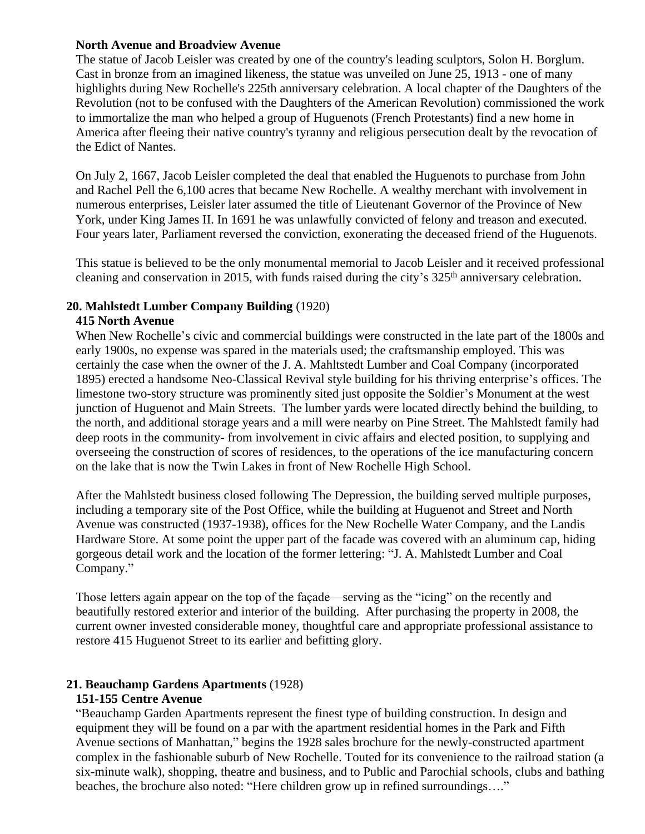#### **North Avenue and Broadview Avenue**

The statue of Jacob Leisler was created by one of the country's leading sculptors, Solon H. Borglum. Cast in bronze from an imagined likeness, the statue was unveiled on June 25, 1913 - one of many highlights during New Rochelle's 225th anniversary celebration. A local chapter of the Daughters of the Revolution (not to be confused with the Daughters of the American Revolution) commissioned the work to immortalize the man who helped a group of Huguenots (French Protestants) find a new home in America after fleeing their native country's tyranny and religious persecution dealt by the revocation of the Edict of Nantes.

On July 2, 1667, Jacob Leisler completed the deal that enabled the Huguenots to purchase from John and Rachel Pell the 6,100 acres that became New Rochelle. A wealthy merchant with involvement in numerous enterprises, Leisler later assumed the title of Lieutenant Governor of the Province of New York, under King James II. In 1691 he was unlawfully convicted of felony and treason and executed. Four years later, Parliament reversed the conviction, exonerating the deceased friend of the Huguenots.

This statue is believed to be the only monumental memorial to Jacob Leisler and it received professional cleaning and conservation in 2015, with funds raised during the city's 325<sup>th</sup> anniversary celebration.

#### **20. Mahlstedt Lumber Company Building** (1920)

#### **415 North Avenue**

When New Rochelle's civic and commercial buildings were constructed in the late part of the 1800s and early 1900s, no expense was spared in the materials used; the craftsmanship employed. This was certainly the case when the owner of the J. A. Mahltstedt Lumber and Coal Company (incorporated 1895) erected a handsome Neo-Classical Revival style building for his thriving enterprise's offices. The limestone two-story structure was prominently sited just opposite the Soldier's Monument at the west junction of Huguenot and Main Streets. The lumber yards were located directly behind the building, to the north, and additional storage years and a mill were nearby on Pine Street. The Mahlstedt family had deep roots in the community- from involvement in civic affairs and elected position, to supplying and overseeing the construction of scores of residences, to the operations of the ice manufacturing concern on the lake that is now the Twin Lakes in front of New Rochelle High School.

After the Mahlstedt business closed following The Depression, the building served multiple purposes, including a temporary site of the Post Office, while the building at Huguenot and Street and North Avenue was constructed (1937-1938), offices for the New Rochelle Water Company, and the Landis Hardware Store. At some point the upper part of the facade was covered with an aluminum cap, hiding gorgeous detail work and the location of the former lettering: "J. A. Mahlstedt Lumber and Coal Company."

Those letters again appear on the top of the façade—serving as the "icing" on the recently and beautifully restored exterior and interior of the building. After purchasing the property in 2008, the current owner invested considerable money, thoughtful care and appropriate professional assistance to restore 415 Huguenot Street to its earlier and befitting glory.

## **21. Beauchamp Gardens Apartments** (1928)

#### **151-155 Centre Avenue**

"Beauchamp Garden Apartments represent the finest type of building construction. In design and equipment they will be found on a par with the apartment residential homes in the Park and Fifth Avenue sections of Manhattan," begins the 1928 sales brochure for the newly-constructed apartment complex in the fashionable suburb of New Rochelle. Touted for its convenience to the railroad station (a six-minute walk), shopping, theatre and business, and to Public and Parochial schools, clubs and bathing beaches, the brochure also noted: "Here children grow up in refined surroundings…."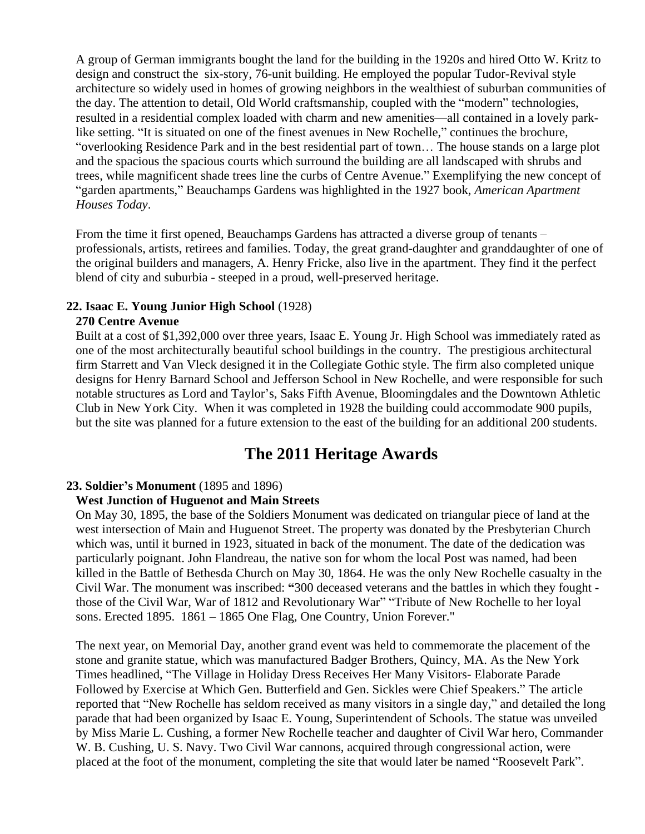A group of German immigrants bought the land for the building in the 1920s and hired Otto W. Kritz to design and construct the six-story, 76-unit building. He employed the popular Tudor-Revival style architecture so widely used in homes of growing neighbors in the wealthiest of suburban communities of the day. The attention to detail, Old World craftsmanship, coupled with the "modern" technologies, resulted in a residential complex loaded with charm and new amenities—all contained in a lovely parklike setting. "It is situated on one of the finest avenues in New Rochelle," continues the brochure, "overlooking Residence Park and in the best residential part of town… The house stands on a large plot and the spacious the spacious courts which surround the building are all landscaped with shrubs and trees, while magnificent shade trees line the curbs of Centre Avenue." Exemplifying the new concept of "garden apartments," Beauchamps Gardens was highlighted in the 1927 book, *American Apartment Houses Today*.

From the time it first opened, Beauchamps Gardens has attracted a diverse group of tenants – professionals, artists, retirees and families. Today, the great grand-daughter and granddaughter of one of the original builders and managers, A. Henry Fricke, also live in the apartment. They find it the perfect blend of city and suburbia - steeped in a proud, well-preserved heritage.

#### **22. Isaac E. Young Junior High School** (1928)

#### **270 Centre Avenue**

Built at a cost of \$1,392,000 over three years, Isaac E. Young Jr. High School was immediately rated as one of the most architecturally beautiful school buildings in the country. The prestigious architectural firm Starrett and Van Vleck designed it in the Collegiate Gothic style. The firm also completed unique designs for Henry Barnard School and Jefferson School in New Rochelle, and were responsible for such notable structures as Lord and Taylor's, Saks Fifth Avenue, Bloomingdales and the Downtown Athletic Club in New York City. When it was completed in 1928 the building could accommodate 900 pupils, but the site was planned for a future extension to the east of the building for an additional 200 students.

## **The 2011 Heritage Awards**

#### **23. Soldier's Monument** (1895 and 1896)

#### **West Junction of Huguenot and Main Streets**

On May 30, 1895, the base of the Soldiers Monument was dedicated on triangular piece of land at the west intersection of Main and Huguenot Street. The property was donated by the Presbyterian Church which was, until it burned in 1923, situated in back of the monument. The date of the dedication was particularly poignant. John Flandreau, the native son for whom the local Post was named, had been killed in the Battle of Bethesda Church on May 30, 1864. He was the only New Rochelle casualty in the Civil War. The monument was inscribed: **"**300 deceased veterans and the battles in which they fought those of the Civil War, War of 1812 and Revolutionary War" "Tribute of New Rochelle to her loyal sons. Erected 1895. 1861 – 1865 One Flag, One Country, Union Forever."

The next year, on Memorial Day, another grand event was held to commemorate the placement of the stone and granite statue, which was manufactured Badger Brothers, Quincy, MA. As the New York Times headlined, "The Village in Holiday Dress Receives Her Many Visitors- Elaborate Parade Followed by Exercise at Which Gen. Butterfield and Gen. Sickles were Chief Speakers." The article reported that "New Rochelle has seldom received as many visitors in a single day," and detailed the long parade that had been organized by Isaac E. Young, Superintendent of Schools. The statue was unveiled by Miss Marie L. Cushing, a former New Rochelle teacher and daughter of Civil War hero, Commander W. B. Cushing, U. S. Navy. Two Civil War cannons, acquired through congressional action, were placed at the foot of the monument, completing the site that would later be named "Roosevelt Park".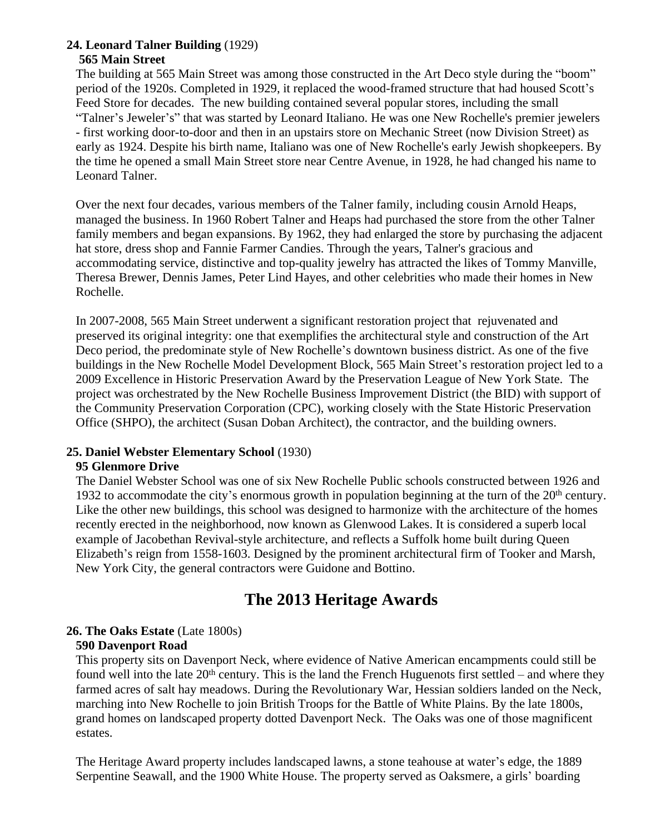#### **24. Leonard Talner Building** (1929) **565 Main Street**

The building at 565 Main Street was among those constructed in the Art Deco style during the "boom" period of the 1920s. Completed in 1929, it replaced the wood-framed structure that had housed Scott's Feed Store for decades. The new building contained several popular stores, including the small "Talner's Jeweler's" that was started by Leonard Italiano. He was one New Rochelle's premier jewelers - first working door-to-door and then in an upstairs store on Mechanic Street (now Division Street) as early as 1924. Despite his birth name, Italiano was one of New Rochelle's early Jewish shopkeepers. By the time he opened a small Main Street store near Centre Avenue, in 1928, he had changed his name to Leonard Talner.

Over the next four decades, various members of the Talner family, including cousin Arnold Heaps, managed the business. In 1960 Robert Talner and Heaps had purchased the store from the other Talner family members and began expansions. By 1962, they had enlarged the store by purchasing the adjacent hat store, dress shop and Fannie Farmer Candies. Through the years, Talner's gracious and accommodating service, distinctive and top-quality jewelry has attracted the likes of Tommy Manville, Theresa Brewer, Dennis James, Peter Lind Hayes, and other celebrities who made their homes in New Rochelle.

In 2007-2008, 565 Main Street underwent a significant restoration project that rejuvenated and preserved its original integrity: one that exemplifies the architectural style and construction of the Art Deco period, the predominate style of New Rochelle's downtown business district. As one of the five buildings in the New Rochelle Model Development Block, 565 Main Street's restoration project led to a 2009 Excellence in Historic Preservation Award by the Preservation League of New York State. The project was orchestrated by the New Rochelle Business Improvement District (the BID) with support of the Community Preservation Corporation (CPC), working closely with the State Historic Preservation Office (SHPO), the architect (Susan Doban Architect), the contractor, and the building owners.

## **25. Daniel Webster Elementary School** (1930)

## **95 Glenmore Drive**

The Daniel Webster School was one of six New Rochelle Public schools constructed between 1926 and 1932 to accommodate the city's enormous growth in population beginning at the turn of the 20<sup>th</sup> century. Like the other new buildings, this school was designed to harmonize with the architecture of the homes recently erected in the neighborhood, now known as Glenwood Lakes. It is considered a superb local example of Jacobethan Revival-style architecture, and reflects a Suffolk home built during Queen Elizabeth's reign from 1558-1603. Designed by the prominent architectural firm of Tooker and Marsh, New York City, the general contractors were Guidone and Bottino.

# **The 2013 Heritage Awards**

## **26. The Oaks Estate** (Late 1800s)

#### **590 Davenport Road**

This property sits on Davenport Neck, where evidence of Native American encampments could still be found well into the late  $20<sup>th</sup>$  century. This is the land the French Huguenots first settled – and where they farmed acres of salt hay meadows. During the Revolutionary War, Hessian soldiers landed on the Neck, marching into New Rochelle to join British Troops for the Battle of White Plains. By the late 1800s, grand homes on landscaped property dotted Davenport Neck. The Oaks was one of those magnificent estates.

The Heritage Award property includes landscaped lawns, a stone teahouse at water's edge, the 1889 Serpentine Seawall, and the 1900 White House. The property served as Oaksmere, a girls' boarding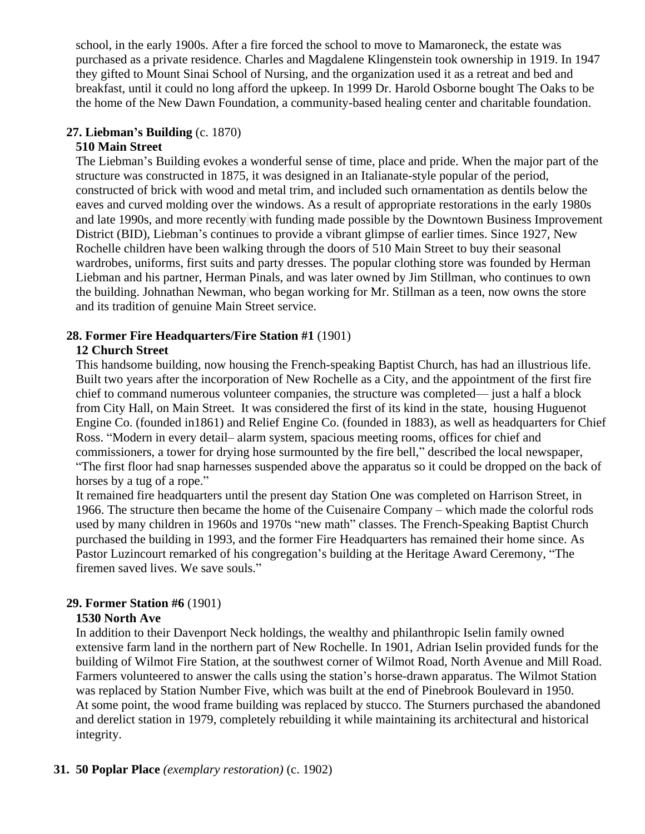school, in the early 1900s. After a fire forced the school to move to Mamaroneck, the estate was purchased as a private residence. Charles and Magdalene Klingenstein took ownership in 1919. In 1947 they gifted to Mount Sinai School of Nursing, and the organization used it as a retreat and bed and breakfast, until it could no long afford the upkeep. In 1999 Dr. Harold Osborne bought The Oaks to be the home of the New Dawn Foundation, a community-based healing center and charitable foundation.

#### **27. Liebman's Building** (c. 1870)

#### **510 Main Street**

The Liebman's Building evokes a wonderful sense of time, place and pride. When the major part of the structure was constructed in 1875, it was designed in an Italianate-style popular of the period, constructed of brick with wood and metal trim, and included such ornamentation as dentils below the eaves and curved molding over the windows. As a result of appropriate restorations in the early 1980s and late 1990s, and more recently with funding made possible by the Downtown Business Improvement District (BID), Liebman's continues to provide a vibrant glimpse of earlier times. Since 1927, New Rochelle children have been walking through the doors of 510 Main Street to buy their seasonal wardrobes, uniforms, first suits and party dresses. The popular clothing store was founded by Herman Liebman and his partner, Herman Pinals, and was later owned by Jim Stillman, who continues to own the building. Johnathan Newman, who began working for Mr. Stillman as a teen, now owns the store and its tradition of genuine Main Street service.

## **28. Former Fire Headquarters/Fire Station #1** (1901)

## **12 Church Street**

This handsome building, now housing the French-speaking Baptist Church, has had an illustrious life. Built two years after the incorporation of New Rochelle as a City, and the appointment of the first fire chief to command numerous volunteer companies, the structure was completed— just a half a block from City Hall, on Main Street. It was considered the first of its kind in the state, housing Huguenot Engine Co. (founded in1861) and Relief Engine Co. (founded in 1883), as well as headquarters for Chief Ross. "Modern in every detail– alarm system, spacious meeting rooms, offices for chief and commissioners, a tower for drying hose surmounted by the fire bell," described the local newspaper, "The first floor had snap harnesses suspended above the apparatus so it could be dropped on the back of horses by a tug of a rope."

It remained fire headquarters until the present day Station One was completed on Harrison Street, in 1966. The structure then became the home of the Cuisenaire Company – which made the colorful rods used by many children in 1960s and 1970s "new math" classes. The French-Speaking Baptist Church purchased the building in 1993, and the former Fire Headquarters has remained their home since. As Pastor Luzincourt remarked of his congregation's building at the Heritage Award Ceremony, "The firemen saved lives. We save souls."

## **29. Former Station #6** (1901)

## **1530 North Ave**

In addition to their Davenport Neck holdings, the wealthy and philanthropic Iselin family owned extensive farm land in the northern part of New Rochelle. In 1901, Adrian Iselin provided funds for the building of Wilmot Fire Station, at the southwest corner of Wilmot Road, North Avenue and Mill Road. Farmers volunteered to answer the calls using the station's horse-drawn apparatus. The Wilmot Station was replaced by Station Number Five, which was built at the end of Pinebrook Boulevard in 1950. At some point, the wood frame building was replaced by stucco. The Sturners purchased the abandoned and derelict station in 1979, completely rebuilding it while maintaining its architectural and historical integrity.

## **31. 50 Poplar Place** *(exemplary restoration)* (c. 1902)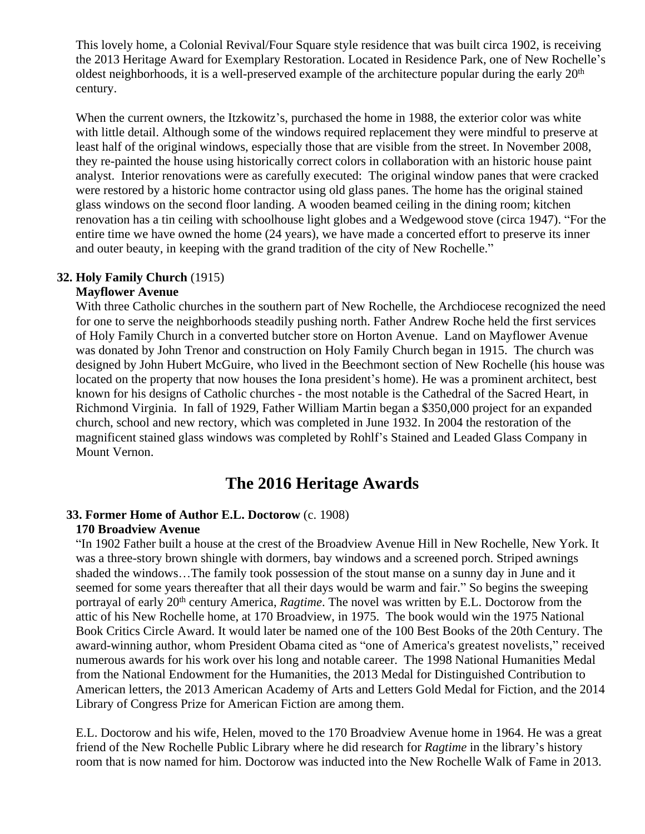This lovely home, a Colonial Revival/Four Square style residence that was built circa 1902, is receiving the 2013 Heritage Award for Exemplary Restoration. Located in Residence Park, one of New Rochelle's oldest neighborhoods, it is a well-preserved example of the architecture popular during the early 20th century.

When the current owners, the Itzkowitz's, purchased the home in 1988, the exterior color was white with little detail. Although some of the windows required replacement they were mindful to preserve at least half of the original windows, especially those that are visible from the street. In November 2008, they re-painted the house using historically correct colors in collaboration with an historic house paint analyst. Interior renovations were as carefully executed: The original window panes that were cracked were restored by a historic home contractor using old glass panes. The home has the original stained glass windows on the second floor landing. A wooden beamed ceiling in the dining room; kitchen renovation has a tin ceiling with schoolhouse light globes and a Wedgewood stove (circa 1947). "For the entire time we have owned the home (24 years), we have made a concerted effort to preserve its inner and outer beauty, in keeping with the grand tradition of the city of New Rochelle."

#### **32. Holy Family Church** (1915)

#### **Mayflower Avenue**

With three Catholic churches in the southern part of New Rochelle, the Archdiocese recognized the need for one to serve the neighborhoods steadily pushing north. Father Andrew Roche held the first services of Holy Family Church in a converted butcher store on Horton Avenue. Land on Mayflower Avenue was donated by John Trenor and construction on Holy Family Church began in 1915. The church was designed by John Hubert McGuire, who lived in the Beechmont section of New Rochelle (his house was located on the property that now houses the Iona president's home). He was a prominent architect, best known for his designs of Catholic churches - the most notable is the Cathedral of the Sacred Heart, in Richmond Virginia. In fall of 1929, Father William Martin began a \$350,000 project for an expanded church, school and new rectory, which was completed in June 1932. In 2004 the restoration of the magnificent stained glass windows was completed by Rohlf's Stained and Leaded Glass Company in Mount Vernon.

## **The 2016 Heritage Awards**

## **33. Former Home of Author E.L. Doctorow** (c. 1908)

#### **170 Broadview Avenue**

"In 1902 Father built a house at the crest of the Broadview Avenue Hill in New Rochelle, New York. It was a three-story brown shingle with dormers, bay windows and a screened porch. Striped awnings shaded the windows…The family took possession of the stout manse on a sunny day in June and it seemed for some years thereafter that all their days would be warm and fair." So begins the sweeping portrayal of early 20<sup>th</sup> century America, *Ragtime*. The novel was written by E.L. Doctorow from the attic of his New Rochelle home, at 170 Broadview, in 1975. The book would win the 1975 [National](https://en.wikipedia.org/wiki/National_Book_Critics_Circle_Award)  Book Critics Circle Award. It would later be named one of the 100 Best Books of the 20th Century. The award-winning author, whom President Obama cited as "one of America's greatest novelists," received numerous awards for his work over his long and notable career. The 1998 National Humanities Medal from the National Endowment for the Humanities, the 2013 Medal for Distinguished Contribution to American letters, the 2013 American Academy of Arts and Letters Gold Medal for Fiction, and the 2014 Library of Congress Prize for American Fiction are among them.

E.L. Doctorow and his wife, Helen, moved to the 170 Broadview Avenue home in 1964. He was a great friend of the New Rochelle Public Library where he did research for *Ragtime* in the library's history room that is now named for him. Doctorow was inducted into the New Rochelle Walk of Fame in 2013.